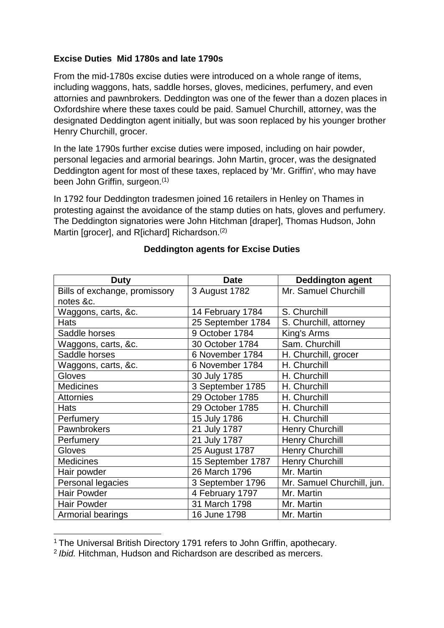# **Excise Duties Mid 1780s and late 1790s**

From the mid-1780s excise duties were introduced on a whole range of items, including waggons, hats, saddle horses, gloves, medicines, perfumery, and even attornies and pawnbrokers. Deddington was one of the fewer than a dozen places in Oxfordshire where these taxes could be paid. Samuel Churchill, attorney, was the designated Deddington agent initially, but was soon replaced by his younger brother Henry Churchill, grocer.

In the late 1790s further excise duties were imposed, including on hair powder, personal legacies and armorial bearings. John Martin, grocer, was the designated Deddington agent for most of these taxes, replaced by 'Mr. Griffin', who may have been John Griffin, surgeon.<sup>(1)</sup>

In 1792 four Deddington tradesmen joined 16 retailers in Henley on Thames in protesting against the avoidance of the stamp duties on hats, gloves and perfumery. The Deddington signatories were John Hitchman [draper], Thomas Hudson, John Martin [grocer], and R[ichard] Richardson.<sup>(2)</sup>

| <b>Duty</b>                   | <b>Date</b>       | <b>Deddington agent</b>    |
|-------------------------------|-------------------|----------------------------|
| Bills of exchange, promissory | 3 August 1782     | Mr. Samuel Churchill       |
| notes &c.                     |                   |                            |
| Waggons, carts, &c.           | 14 February 1784  | S. Churchill               |
| <b>Hats</b>                   | 25 September 1784 | S. Churchill, attorney     |
| Saddle horses                 | 9 October 1784    | King's Arms                |
| Waggons, carts, &c.           | 30 October 1784   | Sam. Churchill             |
| Saddle horses                 | 6 November 1784   | H. Churchill, grocer       |
| Waggons, carts, &c.           | 6 November 1784   | H. Churchill               |
| Gloves                        | 30 July 1785      | H. Churchill               |
| <b>Medicines</b>              | 3 September 1785  | H. Churchill               |
| <b>Attornies</b>              | 29 October 1785   | H. Churchill               |
| <b>Hats</b>                   | 29 October 1785   | H. Churchill               |
| Perfumery                     | 15 July 1786      | H. Churchill               |
| Pawnbrokers                   | 21 July 1787      | <b>Henry Churchill</b>     |
| Perfumery                     | 21 July 1787      | <b>Henry Churchill</b>     |
| Gloves                        | 25 August 1787    | <b>Henry Churchill</b>     |
| <b>Medicines</b>              | 15 September 1787 | <b>Henry Churchill</b>     |
| Hair powder                   | 26 March 1796     | Mr. Martin                 |
| Personal legacies             | 3 September 1796  | Mr. Samuel Churchill, jun. |
| <b>Hair Powder</b>            | 4 February 1797   | Mr. Martin                 |
| <b>Hair Powder</b>            | 31 March 1798     | Mr. Martin                 |
| Armorial bearings             | 16 June 1798      | Mr. Martin                 |

# **Deddington agents for Excise Duties**

 $\overline{a}$ 

<sup>&</sup>lt;sup>1</sup> The Universal British Directory 1791 refers to John Griffin, apothecary.

<sup>2</sup> *Ibid.* Hitchman, Hudson and Richardson are described as mercers.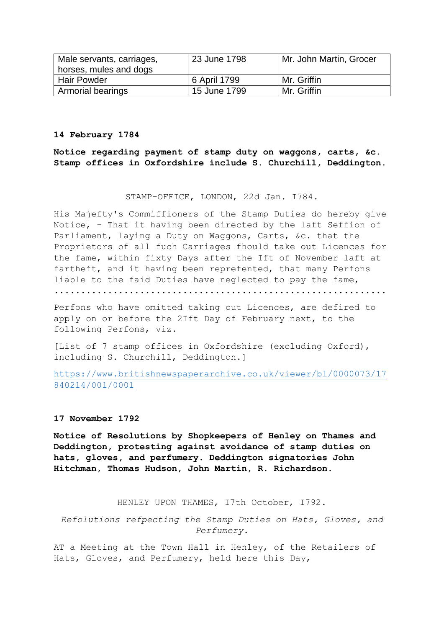| Male servants, carriages, | 23 June 1798 | Mr. John Martin, Grocer |
|---------------------------|--------------|-------------------------|
| horses, mules and dogs    |              |                         |
| <b>Hair Powder</b>        | 6 April 1799 | Mr. Griffin             |
| <b>Armorial bearings</b>  | 15 June 1799 | Mr. Griffin             |

#### **14 February 1784**

**Notice regarding payment of stamp duty on waggons, carts, &c. Stamp offices in Oxfordshire include S. Churchill, Deddington.**

### STAMP-OFFICE, LONDON, 22d Jan. I784.

His Majefty's Commiffioners of the Stamp Duties do hereby give Notice, - That it having been directed by the laft Seffion of Parliament, laying a Duty on Waggons, Carts, &c. that the Proprietors of all fuch Carriages fhould take out Licences for the fame, within fixty Days after the Ift of November laft at fartheft, and it having been reprefented, that many Perfons liable to the faid Duties have neglected to pay the fame, ..............................................................

Perfons who have omitted taking out Licences, are defired to apply on or before the 2Ift Day of February next, to the following Perfons, viz.

[List of 7 stamp offices in Oxfordshire (excluding Oxford), including S. Churchill, Deddington.]

[https://www.britishnewspaperarchive.co.uk/viewer/bl/0000073/17](https://www.britishnewspaperarchive.co.uk/viewer/bl/0000073/17840214/001/0001) [840214/001/0001](https://www.britishnewspaperarchive.co.uk/viewer/bl/0000073/17840214/001/0001)

#### **17 November 1792**

**Notice of Resolutions by Shopkeepers of Henley on Thames and Deddington, protesting against avoidance of stamp duties on hats, gloves, and perfumery. Deddington signatories John Hitchman, Thomas Hudson, John Martin, R. Richardson.**

HENLEY UPON THAMES, I7th October, I792.

*Refolutions refpecting the Stamp Duties on Hats, Gloves, and Perfumery.*

AT a Meeting at the Town Hall in Henley, of the Retailers of Hats, Gloves, and Perfumery, held here this Day,